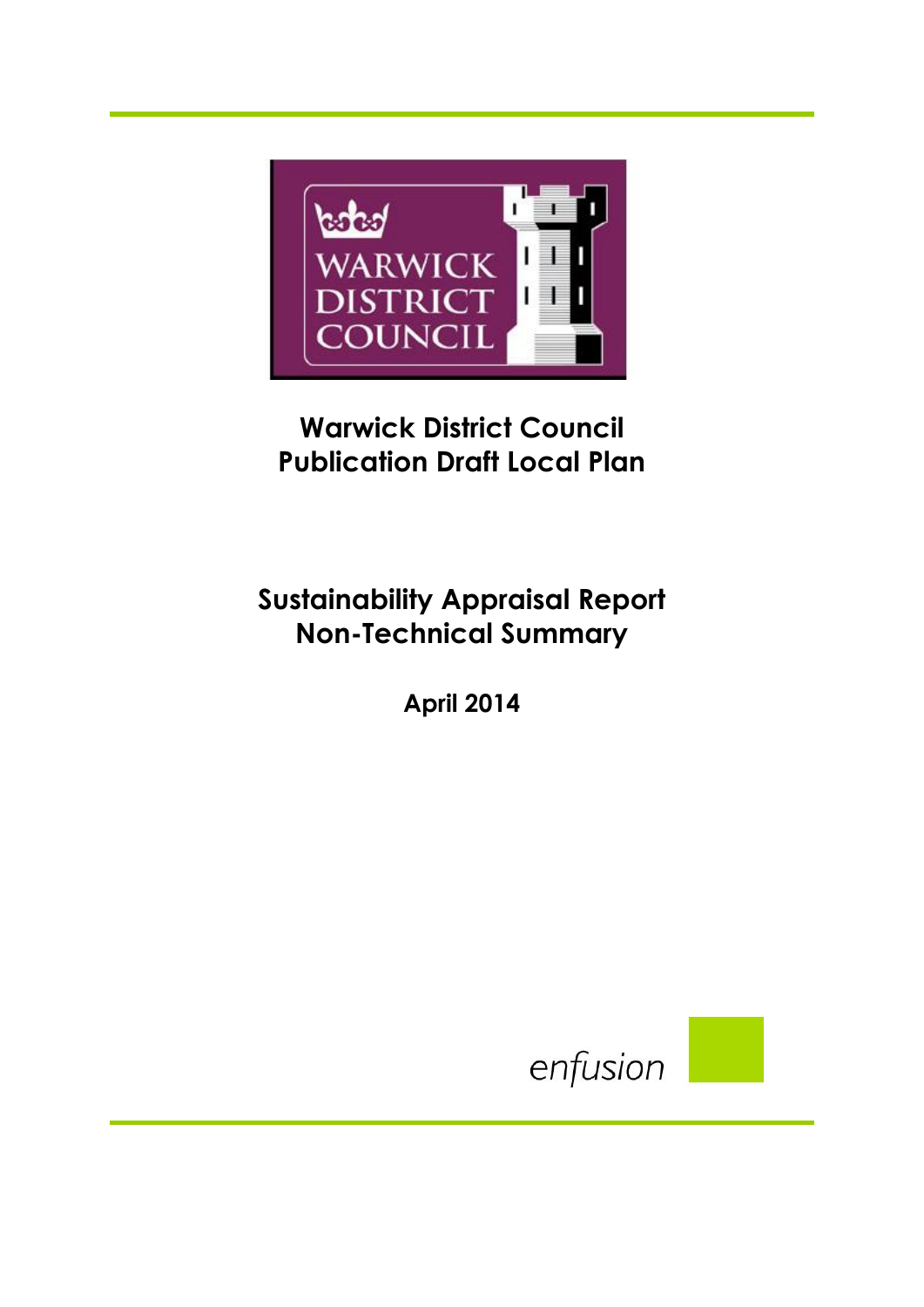

# **Warwick District Council Publication Draft Local Plan**

# **Sustainability Appraisal Report Non-Technical Summary**

**April 2014**

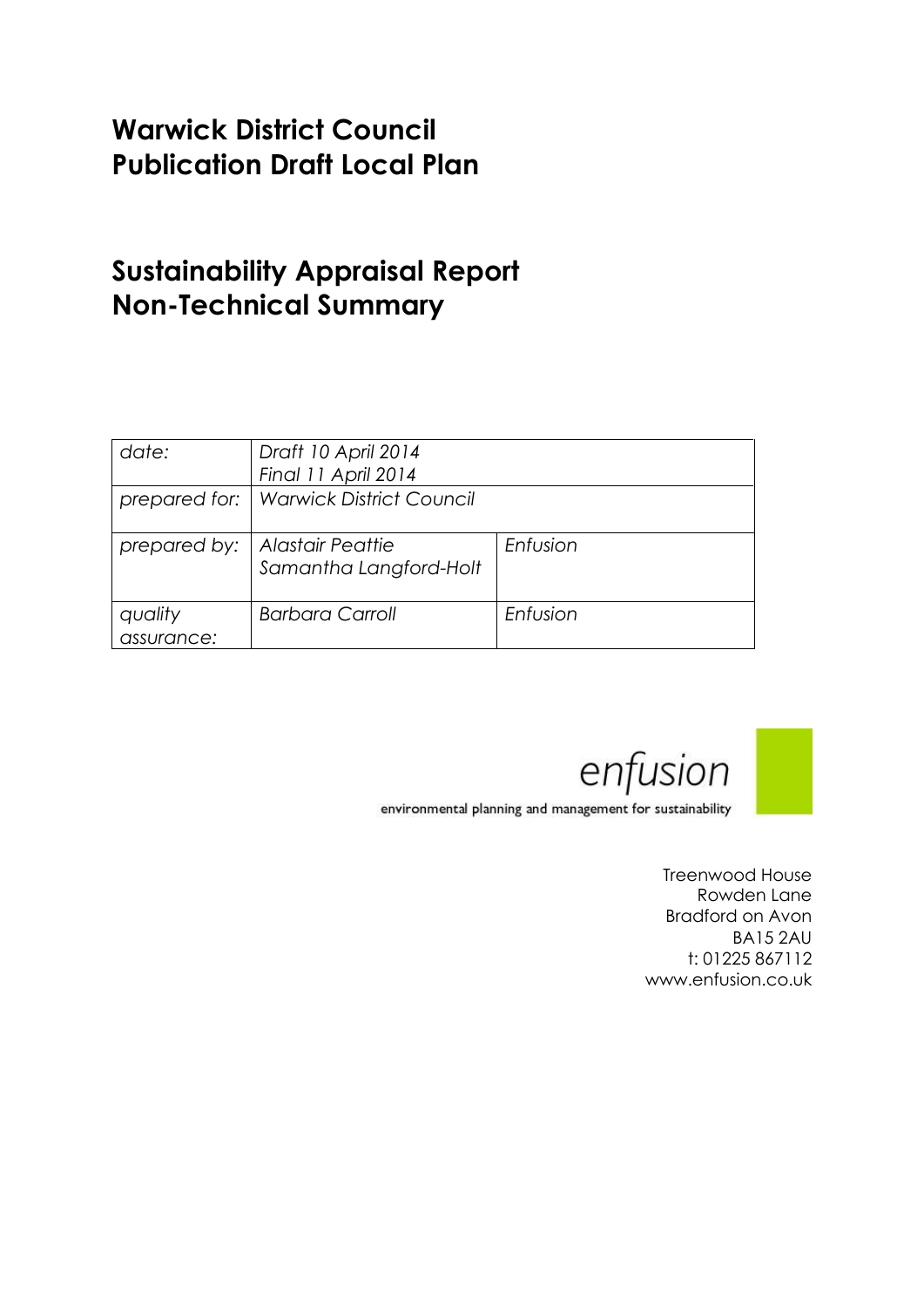# **Warwick District Council Publication Draft Local Plan**

# **Sustainability Appraisal Report Non-Technical Summary**

| date:                 | Draft 10 April 2014<br>Final 11 April 2014        |          |
|-----------------------|---------------------------------------------------|----------|
| prepared for:         | Warwick District Council                          |          |
| prepared by:          | <b>Alastair Peattie</b><br>Samantha Langford-Holt | Enfusion |
| quality<br>assurance: | <b>Barbara Carroll</b>                            | Enfusion |



environmental planning and management for sustainability

Treenwood House Rowden Lane Bradford on Avon BA15 2AU t: 01225 867112 www.enfusion.co.uk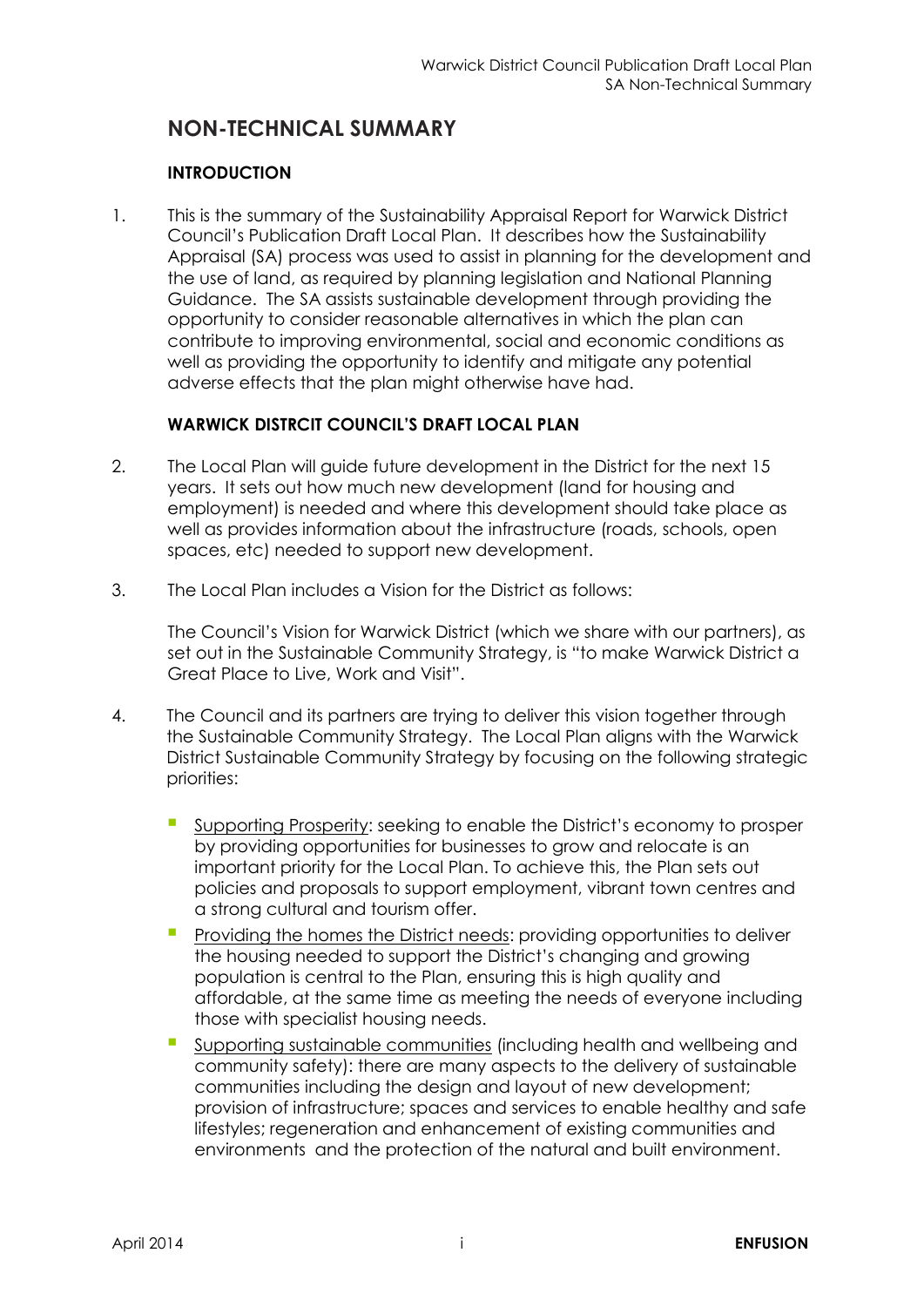# **NON-TECHNICAL SUMMARY**

### **INTRODUCTION**

1. This is the summary of the Sustainability Appraisal Report for Warwick District Council's Publication Draft Local Plan. It describes how the Sustainability Appraisal (SA) process was used to assist in planning for the development and the use of land, as required by planning legislation and National Planning Guidance. The SA assists sustainable development through providing the opportunity to consider reasonable alternatives in which the plan can contribute to improving environmental, social and economic conditions as well as providing the opportunity to identify and mitigate any potential adverse effects that the plan might otherwise have had.

# **WARWICK DISTRCIT COUNCIL'S DRAFT LOCAL PLAN**

- 2. The Local Plan will guide future development in the District for the next 15 years. It sets out how much new development (land for housing and employment) is needed and where this development should take place as well as provides information about the infrastructure (roads, schools, open spaces, etc) needed to support new development.
- 3. The Local Plan includes a Vision for the District as follows:

The Council's Vision for Warwick District (which we share with our partners), as set out in the Sustainable Community Strategy, is "to make Warwick District a Great Place to Live, Work and Visit".

- 4. The Council and its partners are trying to deliver this vision together through the Sustainable Community Strategy. The Local Plan aligns with the Warwick District Sustainable Community Strategy by focusing on the following strategic priorities:
	- Supporting Prosperity: seeking to enable the District's economy to prosper by providing opportunities for businesses to grow and relocate is an important priority for the Local Plan. To achieve this, the Plan sets out policies and proposals to support employment, vibrant town centres and a strong cultural and tourism offer.
	- Providing the homes the District needs: providing opportunities to deliver the housing needed to support the District's changing and growing population is central to the Plan, ensuring this is high quality and affordable, at the same time as meeting the needs of everyone including those with specialist housing needs.
	- Supporting sustainable communities (including health and wellbeing and community safety): there are many aspects to the delivery of sustainable communities including the design and layout of new development; provision of infrastructure; spaces and services to enable healthy and safe lifestyles; regeneration and enhancement of existing communities and environments and the protection of the natural and built environment.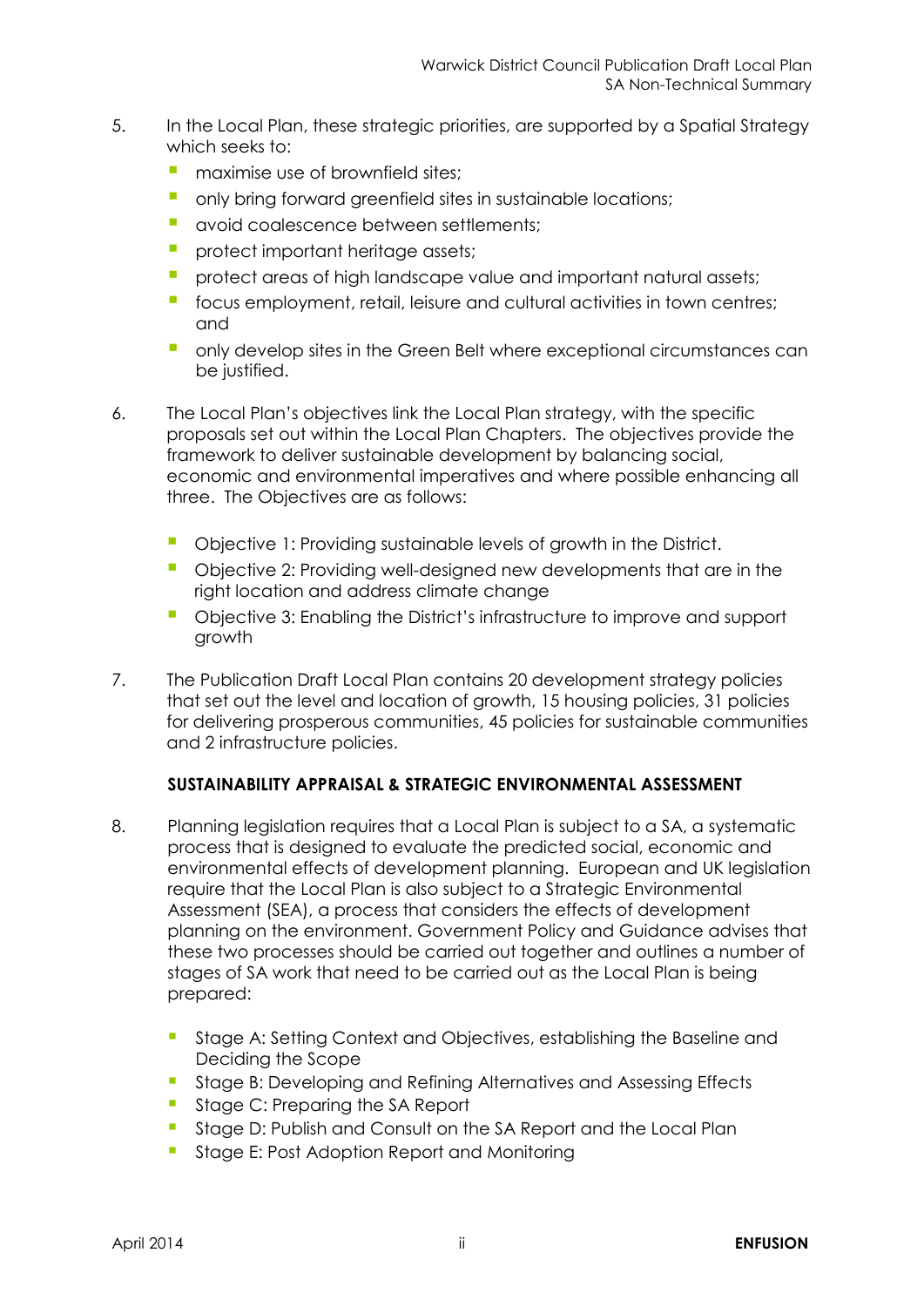- 5. In the Local Plan, these strategic priorities, are supported by a Spatial Strategy which seeks to:
	- maximise use of brownfield sites;
	- **•** only bring forward greenfield sites in sustainable locations;
	- **a** avoid coalescence between settlements;
	- **P** protect important heritage assets;
	- **P** protect areas of high landscape value and important natural assets;
	- focus employment, retail, leisure and cultural activities in town centres; and
	- only develop sites in the Green Belt where exceptional circumstances can be justified.
- 6. The Local Plan's objectives link the Local Plan strategy, with the specific proposals set out within the Local Plan Chapters. The objectives provide the framework to deliver sustainable development by balancing social, economic and environmental imperatives and where possible enhancing all three. The Objectives are as follows:
	- Objective 1: Providing sustainable levels of growth in the District.
	- **Diective 2: Providing well-designed new developments that are in the** right location and address climate change
	- Objective 3: Enabling the District's infrastructure to improve and support growth
- 7. The Publication Draft Local Plan contains 20 development strategy policies that set out the level and location of growth, 15 housing policies, 31 policies for delivering prosperous communities, 45 policies for sustainable communities and 2 infrastructure policies.

# **SUSTAINABILITY APPRAISAL & STRATEGIC ENVIRONMENTAL ASSESSMENT**

- 8. Planning legislation requires that a Local Plan is subject to a SA, a systematic process that is designed to evaluate the predicted social, economic and environmental effects of development planning. European and UK legislation require that the Local Plan is also subject to a Strategic Environmental Assessment (SEA), a process that considers the effects of development planning on the environment. Government Policy and Guidance advises that these two processes should be carried out together and outlines a number of stages of SA work that need to be carried out as the Local Plan is being prepared:
	- Stage A: Setting Context and Objectives, establishing the Baseline and Deciding the Scope
	- Stage B: Developing and Refining Alternatives and Assessing Effects
	- Stage C: Preparing the SA Report
	- **Stage D: Publish and Consult on the SA Report and the Local Plan**
	- Stage E: Post Adoption Report and Monitoring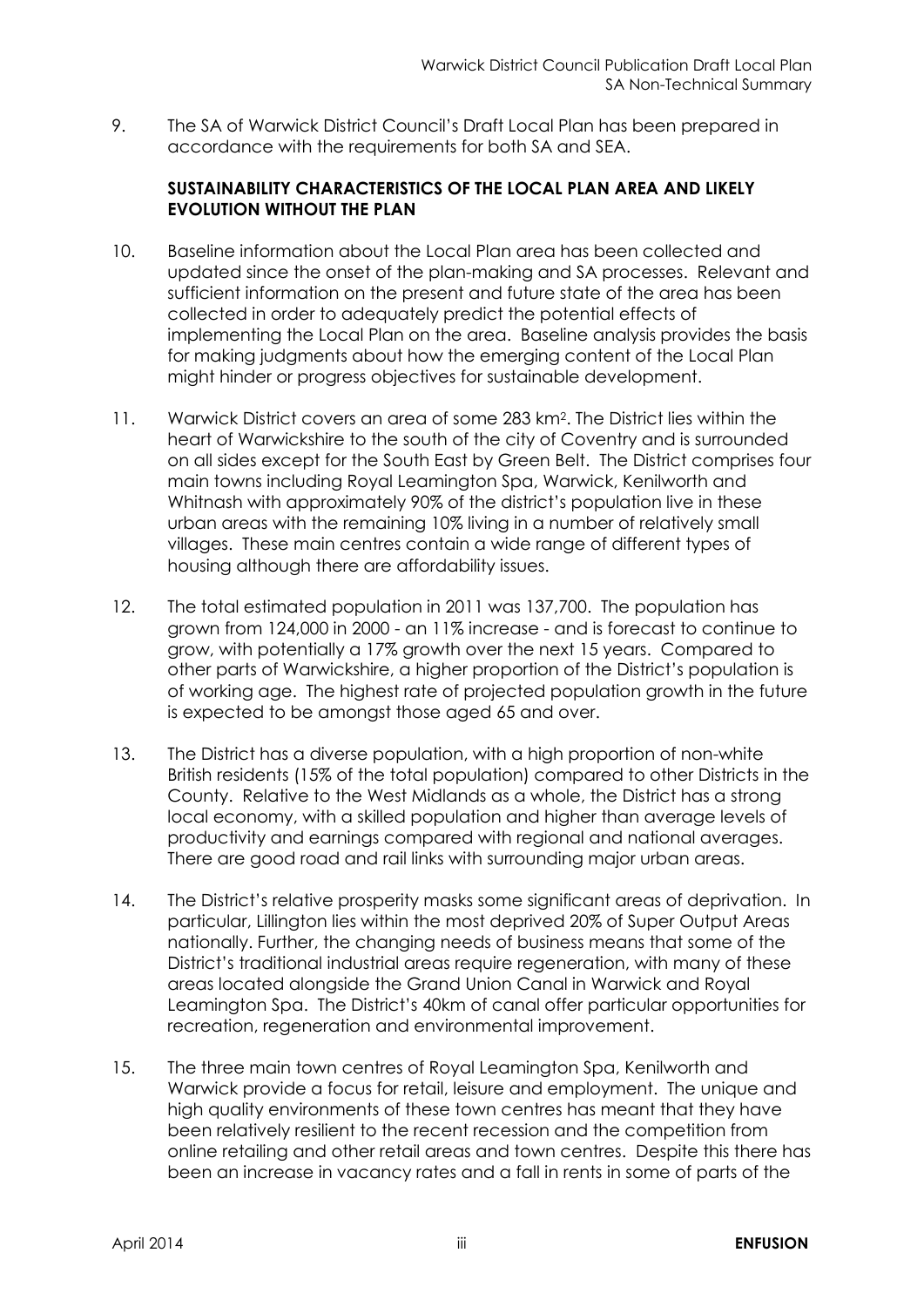9. The SA of Warwick District Council's Draft Local Plan has been prepared in accordance with the requirements for both SA and SEA.

### **SUSTAINABILITY CHARACTERISTICS OF THE LOCAL PLAN AREA AND LIKELY EVOLUTION WITHOUT THE PLAN**

- 10. Baseline information about the Local Plan area has been collected and updated since the onset of the plan-making and SA processes. Relevant and sufficient information on the present and future state of the area has been collected in order to adequately predict the potential effects of implementing the Local Plan on the area. Baseline analysis provides the basis for making judgments about how the emerging content of the Local Plan might hinder or progress objectives for sustainable development.
- 11. Warwick District covers an area of some 283 km<sup>2</sup> . The District lies within the heart of Warwickshire to the south of the city of Coventry and is surrounded on all sides except for the South East by Green Belt. The District comprises four main towns including Royal Leamington Spa, Warwick, Kenilworth and Whitnash with approximately 90% of the district's population live in these urban areas with the remaining 10% living in a number of relatively small villages. These main centres contain a wide range of different types of housing although there are affordability issues.
- 12. The total estimated population in 2011 was 137,700. The population has grown from 124,000 in 2000 - an 11% increase - and is forecast to continue to grow, with potentially a 17% growth over the next 15 years. Compared to other parts of Warwickshire, a higher proportion of the District's population is of working age. The highest rate of projected population growth in the future is expected to be amongst those aged 65 and over.
- 13. The District has a diverse population, with a high proportion of non-white British residents (15% of the total population) compared to other Districts in the County. Relative to the West Midlands as a whole, the District has a strong local economy, with a skilled population and higher than average levels of productivity and earnings compared with regional and national averages. There are good road and rail links with surrounding major urban areas.
- 14. The District's relative prosperity masks some significant areas of deprivation. In particular, Lillington lies within the most deprived 20% of Super Output Areas nationally. Further, the changing needs of business means that some of the District's traditional industrial areas require regeneration, with many of these areas located alongside the Grand Union Canal in Warwick and Royal Leamington Spa. The District's 40km of canal offer particular opportunities for recreation, regeneration and environmental improvement.
- 15. The three main town centres of Royal Leamington Spa, Kenilworth and Warwick provide a focus for retail, leisure and employment. The unique and high quality environments of these town centres has meant that they have been relatively resilient to the recent recession and the competition from online retailing and other retail areas and town centres. Despite this there has been an increase in vacancy rates and a fall in rents in some of parts of the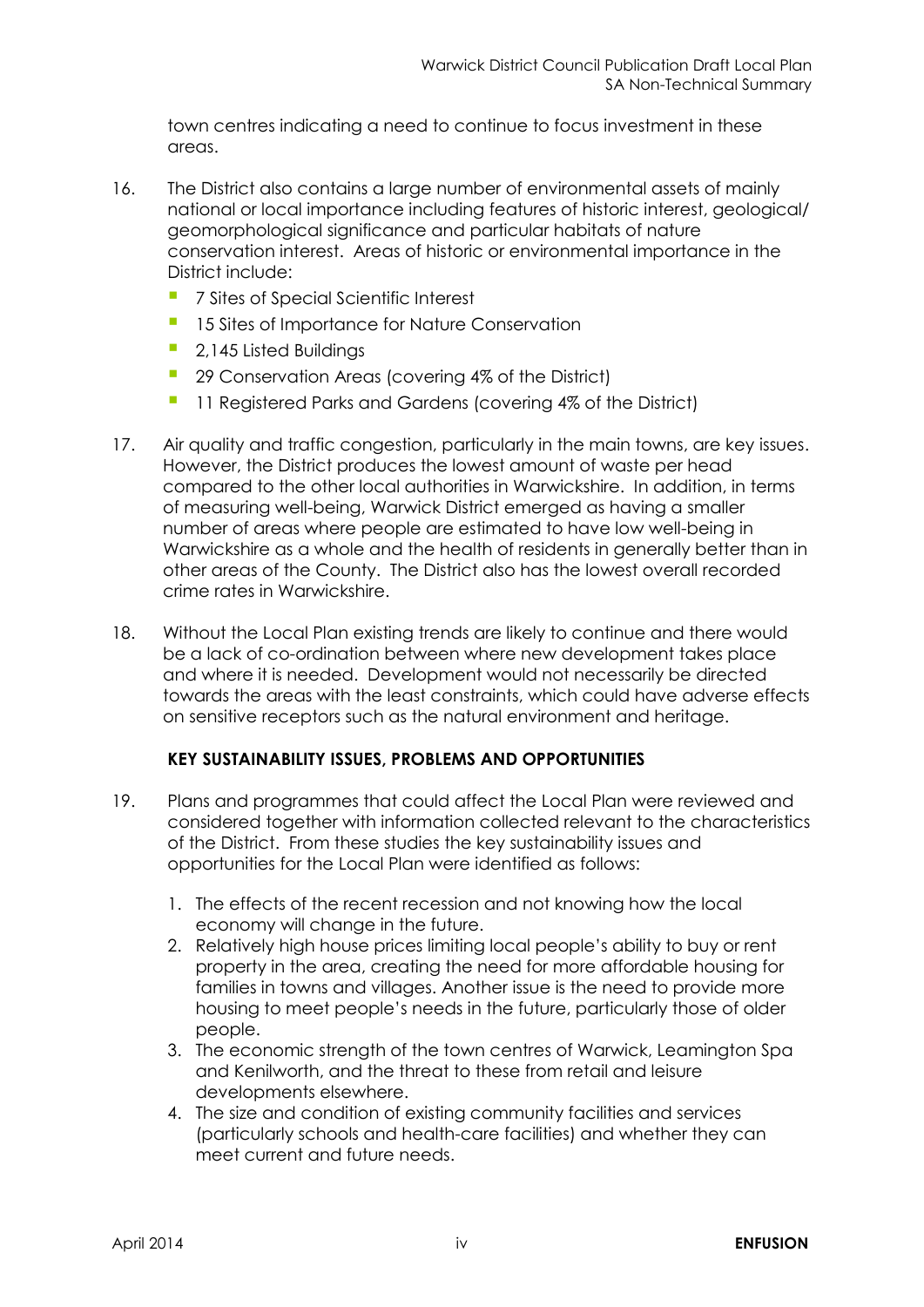town centres indicating a need to continue to focus investment in these areas.

- 16. The District also contains a large number of environmental assets of mainly national or local importance including features of historic interest, geological/ geomorphological significance and particular habitats of nature conservation interest. Areas of historic or environmental importance in the District include:
	- 7 Sites of Special Scientific Interest
	- **15 Sites of Importance for Nature Conservation**
	- **2.145 Listed Buildings**
	- 29 Conservation Areas (covering 4% of the District)
	- **11 Registered Parks and Gardens (covering 4% of the District)**
- 17. Air quality and traffic congestion, particularly in the main towns, are key issues. However, the District produces the lowest amount of waste per head compared to the other local authorities in Warwickshire. In addition, in terms of measuring well-being, Warwick District emerged as having a smaller number of areas where people are estimated to have low well-being in Warwickshire as a whole and the health of residents in generally better than in other areas of the County. The District also has the lowest overall recorded crime rates in Warwickshire.
- 18. Without the Local Plan existing trends are likely to continue and there would be a lack of co-ordination between where new development takes place and where it is needed. Development would not necessarily be directed towards the areas with the least constraints, which could have adverse effects on sensitive receptors such as the natural environment and heritage.

#### **KEY SUSTAINABILITY ISSUES, PROBLEMS AND OPPORTUNITIES**

- 19. Plans and programmes that could affect the Local Plan were reviewed and considered together with information collected relevant to the characteristics of the District. From these studies the key sustainability issues and opportunities for the Local Plan were identified as follows:
	- 1. The effects of the recent recession and not knowing how the local economy will change in the future.
	- 2. Relatively high house prices limiting local people's ability to buy or rent property in the area, creating the need for more affordable housing for families in towns and villages. Another issue is the need to provide more housing to meet people's needs in the future, particularly those of older people.
	- 3. The economic strength of the town centres of Warwick, Leamington Spa and Kenilworth, and the threat to these from retail and leisure developments elsewhere.
	- 4. The size and condition of existing community facilities and services (particularly schools and health-care facilities) and whether they can meet current and future needs.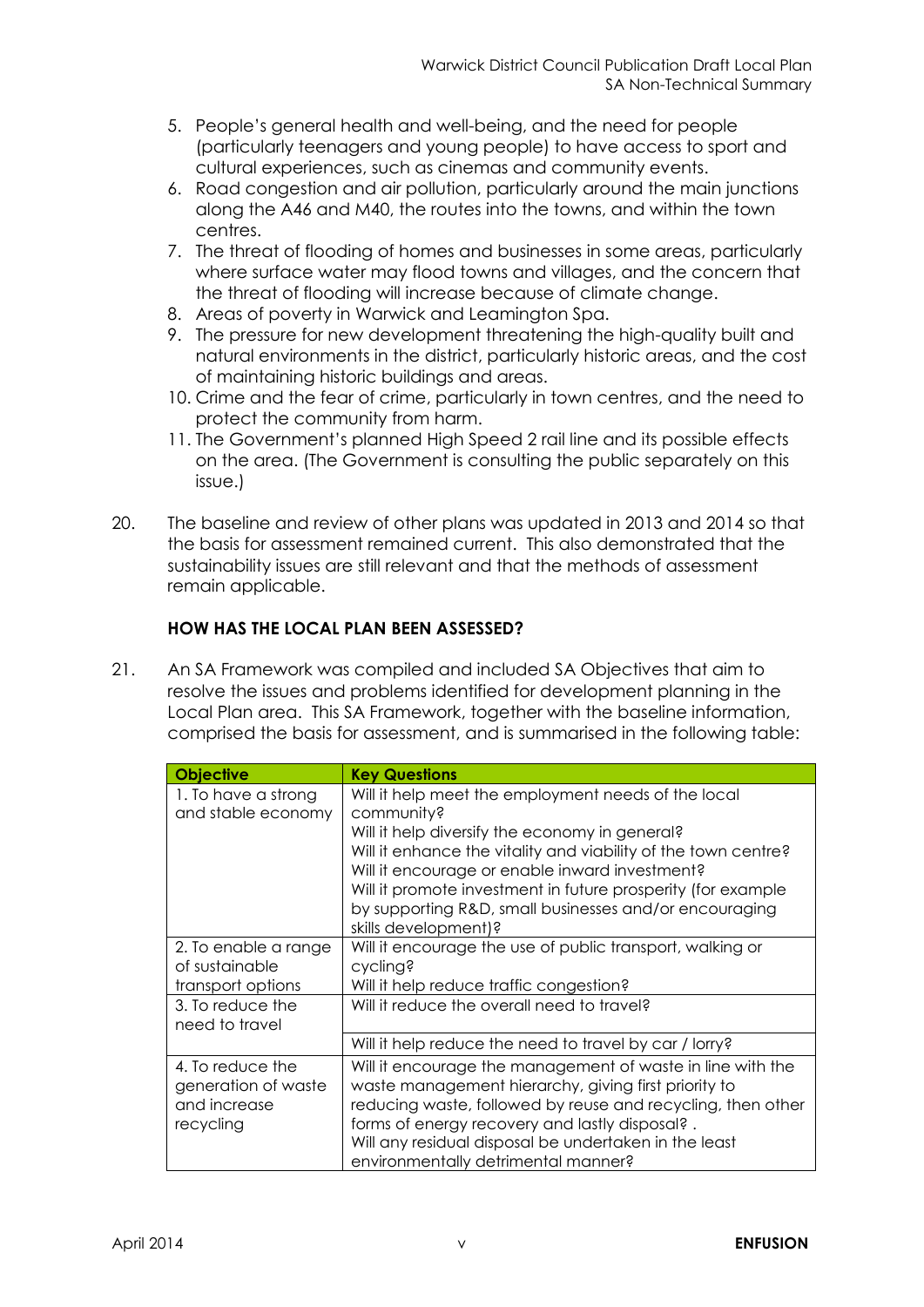- 5. People's general health and well-being, and the need for people (particularly teenagers and young people) to have access to sport and cultural experiences, such as cinemas and community events.
- 6. Road congestion and air pollution, particularly around the main junctions along the A46 and M40, the routes into the towns, and within the town centres.
- 7. The threat of flooding of homes and businesses in some areas, particularly where surface water may flood towns and villages, and the concern that the threat of flooding will increase because of climate change.
- 8. Areas of poverty in Warwick and Leamington Spa.
- 9. The pressure for new development threatening the high-quality built and natural environments in the district, particularly historic areas, and the cost of maintaining historic buildings and areas.
- 10. Crime and the fear of crime, particularly in town centres, and the need to protect the community from harm.
- 11. The Government's planned High Speed 2 rail line and its possible effects on the area. (The Government is consulting the public separately on this issue.)
- 20. The baseline and review of other plans was updated in 2013 and 2014 so that the basis for assessment remained current. This also demonstrated that the sustainability issues are still relevant and that the methods of assessment remain applicable.

# **HOW HAS THE LOCAL PLAN BEEN ASSESSED?**

21. An SA Framework was compiled and included SA Objectives that aim to resolve the issues and problems identified for development planning in the Local Plan area. This SA Framework, together with the baseline information, comprised the basis for assessment, and is summarised in the following table:

| <b>Objective</b>                                                     | <b>Key Questions</b>                                                                                                                                                                                                                                                                                                                                                                      |
|----------------------------------------------------------------------|-------------------------------------------------------------------------------------------------------------------------------------------------------------------------------------------------------------------------------------------------------------------------------------------------------------------------------------------------------------------------------------------|
| 1. To have a strong<br>and stable economy                            | Will it help meet the employment needs of the local<br>community?<br>Will it help diversify the economy in general?<br>Will it enhance the vitality and viability of the town centre?<br>Will it encourage or enable inward investment?<br>Will it promote investment in future prosperity (for example<br>by supporting R&D, small businesses and/or encouraging<br>skills development)? |
| 2. To enable a range<br>of sustainable<br>transport options          | Will it encourage the use of public transport, walking or<br>cycling?<br>Will it help reduce traffic congestion?                                                                                                                                                                                                                                                                          |
| 3. To reduce the<br>need to travel                                   | Will it reduce the overall need to travel?                                                                                                                                                                                                                                                                                                                                                |
|                                                                      | Will it help reduce the need to travel by car / lorry?                                                                                                                                                                                                                                                                                                                                    |
| 4. To reduce the<br>generation of waste<br>and increase<br>recycling | Will it encourage the management of waste in line with the<br>waste management hierarchy, giving first priority to<br>reducing waste, followed by reuse and recycling, then other<br>forms of energy recovery and lastly disposal?.<br>Will any residual disposal be undertaken in the least<br>environmentally detrimental manner?                                                       |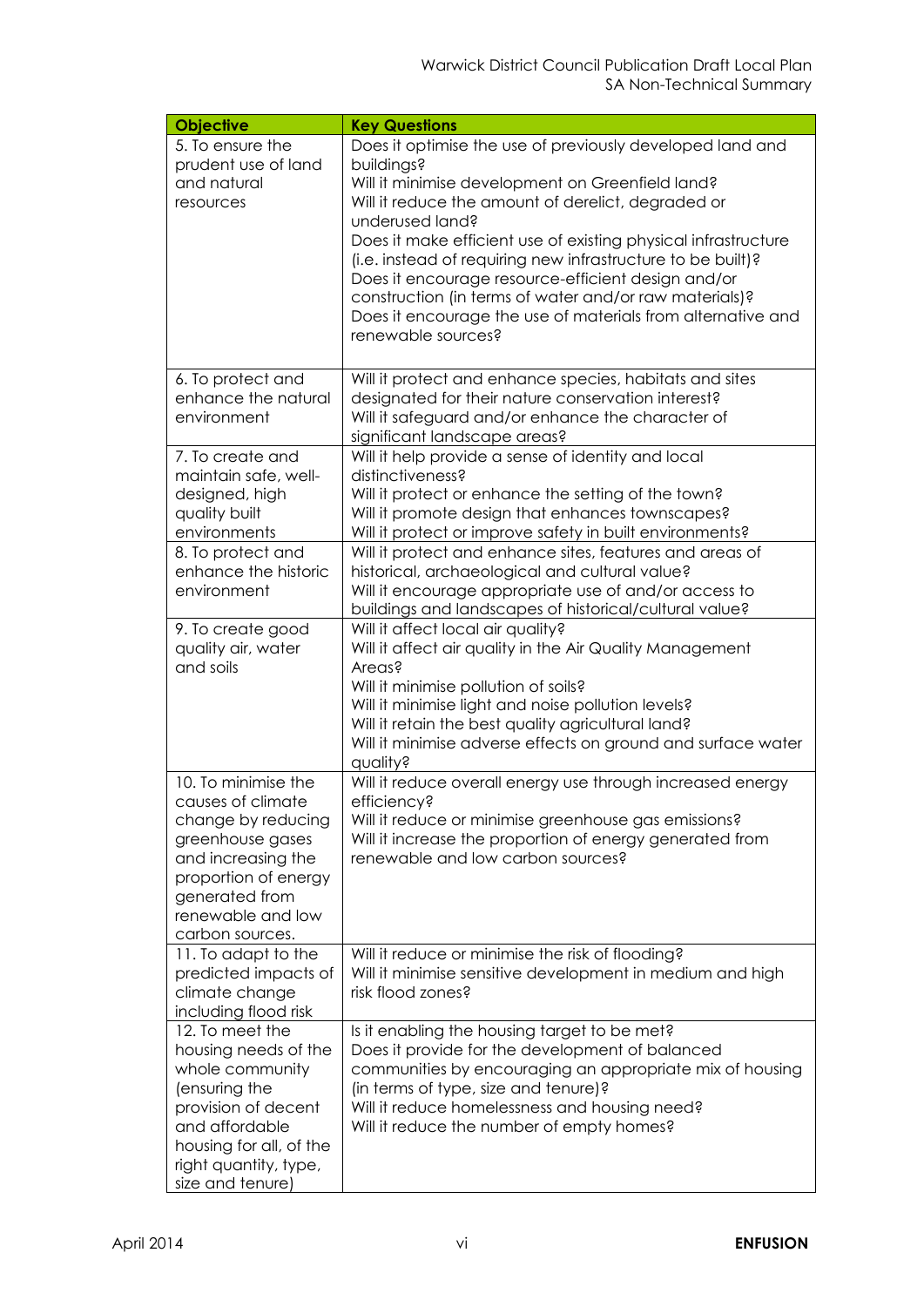| <b>Objective</b>                                                    | <b>Key Questions</b>                                                                                                                                                                                                                                                   |
|---------------------------------------------------------------------|------------------------------------------------------------------------------------------------------------------------------------------------------------------------------------------------------------------------------------------------------------------------|
| 5. To ensure the<br>prudent use of land<br>and natural<br>resources | Does it optimise the use of previously developed land and<br>buildings?<br>Will it minimise development on Greenfield land?<br>Will it reduce the amount of derelict, degraded or<br>underused land?<br>Does it make efficient use of existing physical infrastructure |
|                                                                     | (i.e. instead of requiring new infrastructure to be built)?<br>Does it encourage resource-efficient design and/or<br>construction (in terms of water and/or raw materials)?<br>Does it encourage the use of materials from alternative and<br>renewable sources?       |
| 6. To protect and<br>enhance the natural<br>environment             | Will it protect and enhance species, habitats and sites<br>designated for their nature conservation interest?<br>Will it safeguard and/or enhance the character of<br>significant landscape areas?                                                                     |
| 7. To create and                                                    | Will it help provide a sense of identity and local                                                                                                                                                                                                                     |
| maintain safe, well-<br>designed, high                              | distinctiveness?<br>Will it protect or enhance the setting of the town?                                                                                                                                                                                                |
| quality built                                                       | Will it promote design that enhances townscapes?                                                                                                                                                                                                                       |
| environments                                                        | Will it protect or improve safety in built environments?                                                                                                                                                                                                               |
| 8. To protect and<br>enhance the historic                           | Will it protect and enhance sites, features and areas of<br>historical, archaeological and cultural value?                                                                                                                                                             |
| environment                                                         | Will it encourage appropriate use of and/or access to                                                                                                                                                                                                                  |
|                                                                     | buildings and landscapes of historical/cultural value?                                                                                                                                                                                                                 |
| 9. To create good<br>quality air, water                             | Will it affect local air quality?<br>Will it affect air quality in the Air Quality Management                                                                                                                                                                          |
| and soils                                                           | Areas?                                                                                                                                                                                                                                                                 |
|                                                                     | Will it minimise pollution of soils?                                                                                                                                                                                                                                   |
|                                                                     | Will it minimise light and noise pollution levels?                                                                                                                                                                                                                     |
|                                                                     | Will it retain the best quality agricultural land?<br>Will it minimise adverse effects on ground and surface water                                                                                                                                                     |
|                                                                     | quality?                                                                                                                                                                                                                                                               |
| 10. To minimise the                                                 | Will it reduce overall energy use through increased energy                                                                                                                                                                                                             |
| causes of climate<br>change by reducing                             | efficiency?<br>Will it reduce or minimise greenhouse gas emissions?                                                                                                                                                                                                    |
| greenhouse gases                                                    | Will it increase the proportion of energy generated from                                                                                                                                                                                                               |
| and increasing the                                                  | renewable and low carbon sources?                                                                                                                                                                                                                                      |
| proportion of energy                                                |                                                                                                                                                                                                                                                                        |
| generated from<br>renewable and low                                 |                                                                                                                                                                                                                                                                        |
| carbon sources.                                                     |                                                                                                                                                                                                                                                                        |
| 11. To adapt to the<br>predicted impacts of<br>climate change       | Will it reduce or minimise the risk of flooding?<br>Will it minimise sensitive development in medium and high<br>risk flood zones?                                                                                                                                     |
| including flood risk<br>12. To meet the                             | Is it enabling the housing target to be met?                                                                                                                                                                                                                           |
| housing needs of the                                                | Does it provide for the development of balanced                                                                                                                                                                                                                        |
| whole community                                                     | communities by encouraging an appropriate mix of housing                                                                                                                                                                                                               |
| (ensuring the                                                       | (in terms of type, size and tenure)?                                                                                                                                                                                                                                   |
| provision of decent<br>and affordable                               | Will it reduce homelessness and housing need?<br>Will it reduce the number of empty homes?                                                                                                                                                                             |
| housing for all, of the                                             |                                                                                                                                                                                                                                                                        |
| right quantity, type,                                               |                                                                                                                                                                                                                                                                        |
| size and tenure)                                                    |                                                                                                                                                                                                                                                                        |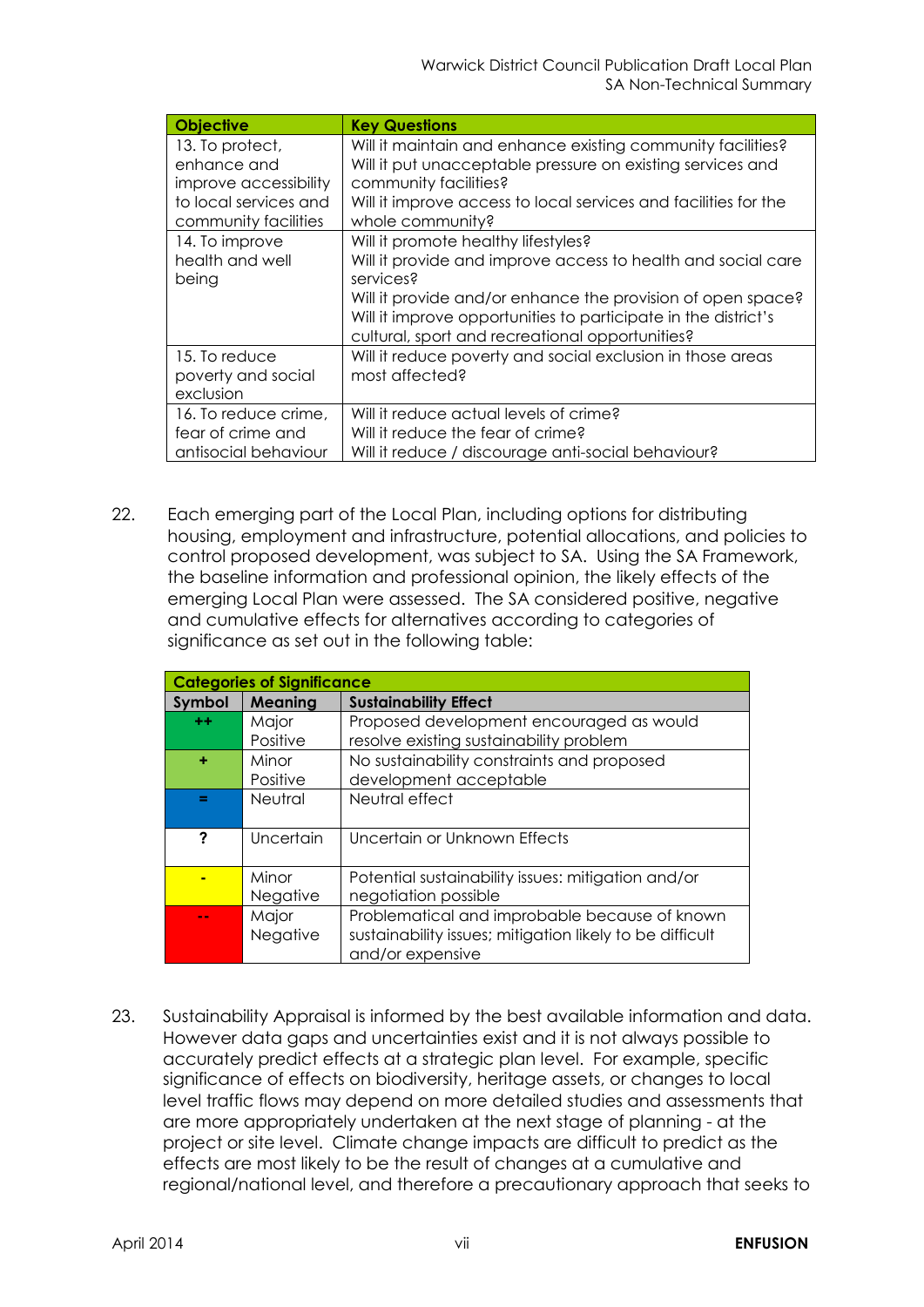| <b>Objective</b>                                 | <b>Key Questions</b>                                                                                                                                                                                                                                                                                 |
|--------------------------------------------------|------------------------------------------------------------------------------------------------------------------------------------------------------------------------------------------------------------------------------------------------------------------------------------------------------|
| 13. To protect,                                  | Will it maintain and enhance existing community facilities?                                                                                                                                                                                                                                          |
| enhance and                                      | Will it put unacceptable pressure on existing services and                                                                                                                                                                                                                                           |
| improve accessibility                            | community facilities?                                                                                                                                                                                                                                                                                |
| to local services and                            | Will it improve access to local services and facilities for the                                                                                                                                                                                                                                      |
| community facilities                             | whole community?                                                                                                                                                                                                                                                                                     |
| 14. To improve<br>health and well<br>being       | Will it promote healthy lifestyles?<br>Will it provide and improve access to health and social care<br>services?<br>Will it provide and/or enhance the provision of open space?<br>Will it improve opportunities to participate in the district's<br>cultural, sport and recreational opportunities? |
| 15. To reduce<br>poverty and social<br>exclusion | Will it reduce poverty and social exclusion in those areas<br>most affected?                                                                                                                                                                                                                         |
| 16. To reduce crime,                             | Will it reduce actual levels of crime?                                                                                                                                                                                                                                                               |
| fear of crime and                                | Will it reduce the fear of crime?                                                                                                                                                                                                                                                                    |
| antisocial behaviour                             | Will it reduce / discourage anti-social behaviour?                                                                                                                                                                                                                                                   |

22. Each emerging part of the Local Plan, including options for distributing housing, employment and infrastructure, potential allocations, and policies to control proposed development, was subject to SA. Using the SA Framework, the baseline information and professional opinion, the likely effects of the emerging Local Plan were assessed. The SA considered positive, negative and cumulative effects for alternatives according to categories of significance as set out in the following table:

| <b>Categories of Significance</b> |                |                                                          |  |
|-----------------------------------|----------------|----------------------------------------------------------|--|
| Symbol                            | Meaning        | <b>Sustainability Effect</b>                             |  |
| $+ +$                             | Major          | Proposed development encouraged as would                 |  |
|                                   | Positive       | resolve existing sustainability problem                  |  |
| ÷                                 | Minor          | No sustainability constraints and proposed               |  |
|                                   | Positive       | development acceptable                                   |  |
|                                   | <b>Neutral</b> | Neutral effect                                           |  |
|                                   |                |                                                          |  |
| ?                                 | Uncertain      | Uncertain or Unknown Effects                             |  |
|                                   |                |                                                          |  |
|                                   | Minor          | Potential sustainability issues: mitigation and/or       |  |
|                                   | Negative       | negotiation possible                                     |  |
|                                   | Major          | Problematical and improbable because of known            |  |
|                                   | Negative       | sustainability issues; mitigation likely to be difficult |  |
|                                   |                | and/or expensive                                         |  |

23. Sustainability Appraisal is informed by the best available information and data. However data gaps and uncertainties exist and it is not always possible to accurately predict effects at a strategic plan level. For example, specific significance of effects on biodiversity, heritage assets, or changes to local level traffic flows may depend on more detailed studies and assessments that are more appropriately undertaken at the next stage of planning - at the project or site level. Climate change impacts are difficult to predict as the effects are most likely to be the result of changes at a cumulative and regional/national level, and therefore a precautionary approach that seeks to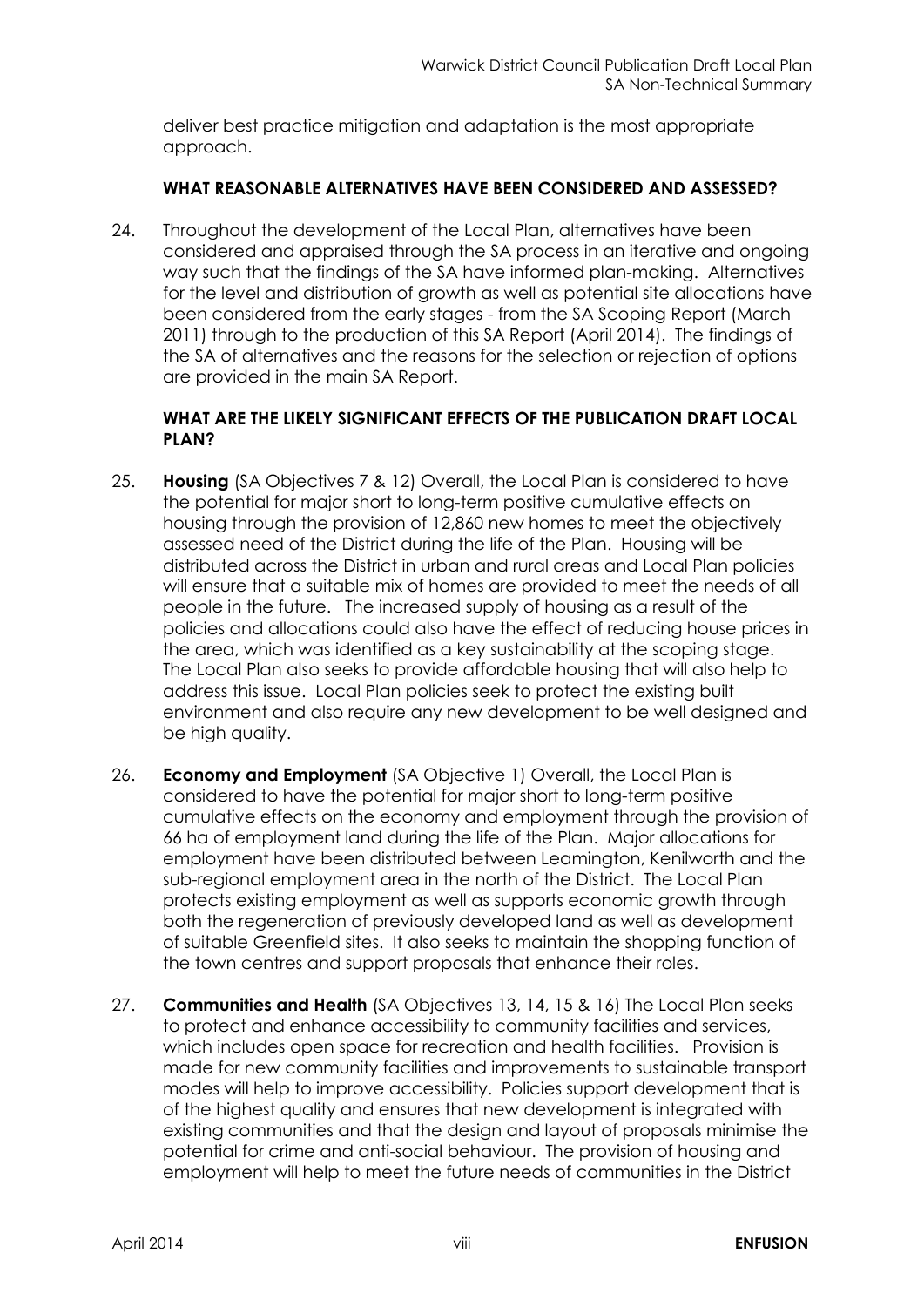deliver best practice mitigation and adaptation is the most appropriate approach.

### **WHAT REASONABLE ALTERNATIVES HAVE BEEN CONSIDERED AND ASSESSED?**

24. Throughout the development of the Local Plan, alternatives have been considered and appraised through the SA process in an iterative and ongoing way such that the findings of the SA have informed plan-making. Alternatives for the level and distribution of growth as well as potential site allocations have been considered from the early stages - from the SA Scoping Report (March 2011) through to the production of this SA Report (April 2014). The findings of the SA of alternatives and the reasons for the selection or rejection of options are provided in the main SA Report.

# **WHAT ARE THE LIKELY SIGNIFICANT EFFECTS OF THE PUBLICATION DRAFT LOCAL PLAN?**

- 25. **Housing** (SA Objectives 7 & 12) Overall, the Local Plan is considered to have the potential for major short to long-term positive cumulative effects on housing through the provision of 12,860 new homes to meet the objectively assessed need of the District during the life of the Plan. Housing will be distributed across the District in urban and rural areas and Local Plan policies will ensure that a suitable mix of homes are provided to meet the needs of all people in the future. The increased supply of housing as a result of the policies and allocations could also have the effect of reducing house prices in the area, which was identified as a key sustainability at the scoping stage. The Local Plan also seeks to provide affordable housing that will also help to address this issue. Local Plan policies seek to protect the existing built environment and also require any new development to be well designed and be high quality.
- 26. **Economy and Employment** (SA Objective 1) Overall, the Local Plan is considered to have the potential for major short to long-term positive cumulative effects on the economy and employment through the provision of 66 ha of employment land during the life of the Plan. Major allocations for employment have been distributed between Leamington, Kenilworth and the sub-regional employment area in the north of the District. The Local Plan protects existing employment as well as supports economic growth through both the regeneration of previously developed land as well as development of suitable Greenfield sites. It also seeks to maintain the shopping function of the town centres and support proposals that enhance their roles.
- 27. **Communities and Health** (SA Objectives 13, 14, 15 & 16) The Local Plan seeks to protect and enhance accessibility to community facilities and services, which includes open space for recreation and health facilities. Provision is made for new community facilities and improvements to sustainable transport modes will help to improve accessibility. Policies support development that is of the highest quality and ensures that new development is integrated with existing communities and that the design and layout of proposals minimise the potential for crime and anti-social behaviour. The provision of housing and employment will help to meet the future needs of communities in the District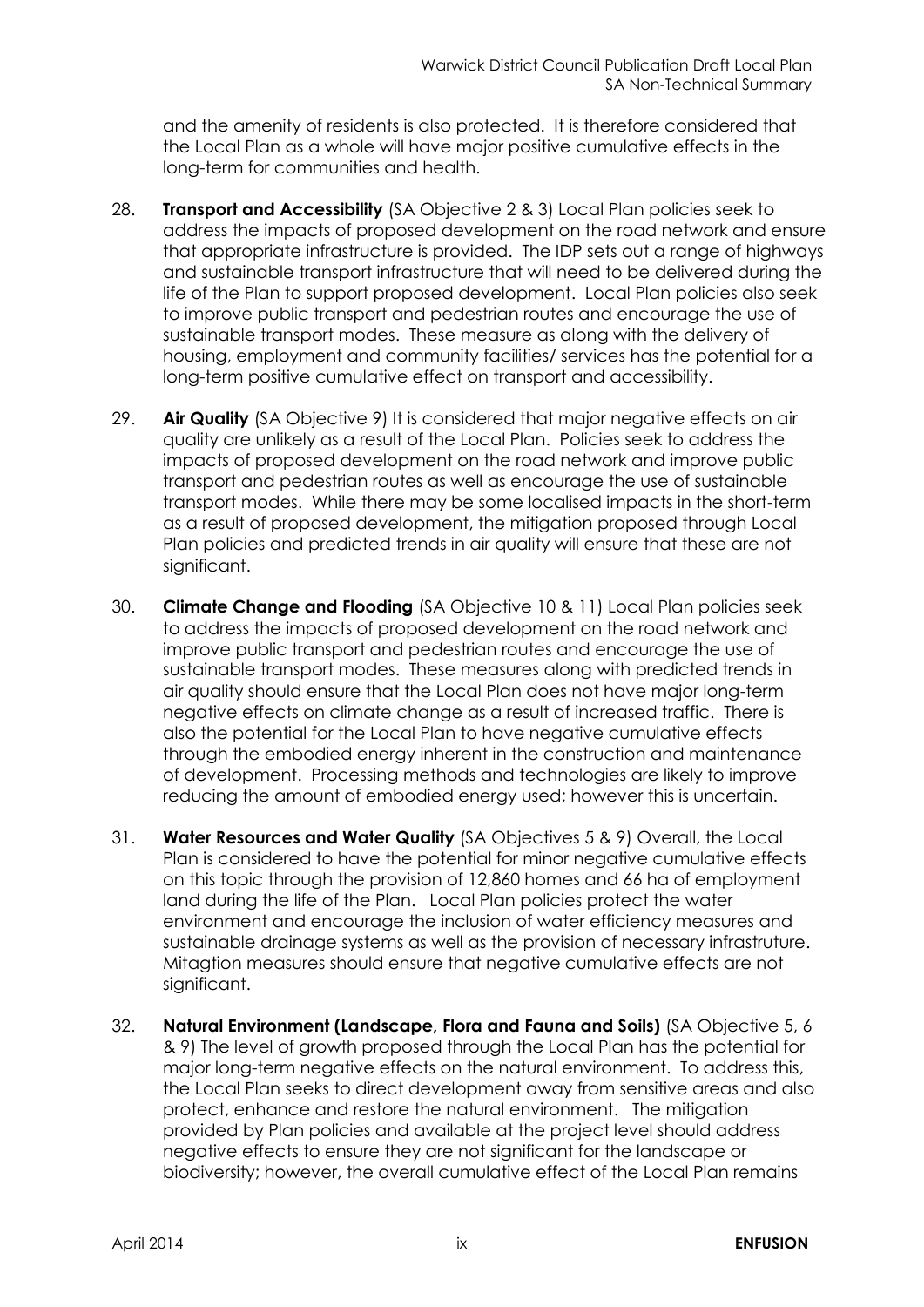and the amenity of residents is also protected. It is therefore considered that the Local Plan as a whole will have major positive cumulative effects in the long-term for communities and health.

- 28. **Transport and Accessibility** (SA Objective 2 & 3) Local Plan policies seek to address the impacts of proposed development on the road network and ensure that appropriate infrastructure is provided. The IDP sets out a range of highways and sustainable transport infrastructure that will need to be delivered during the life of the Plan to support proposed development. Local Plan policies also seek to improve public transport and pedestrian routes and encourage the use of sustainable transport modes. These measure as along with the delivery of housing, employment and community facilities/ services has the potential for a long-term positive cumulative effect on transport and accessibility.
- 29. **Air Quality** (SA Objective 9) It is considered that major negative effects on air quality are unlikely as a result of the Local Plan. Policies seek to address the impacts of proposed development on the road network and improve public transport and pedestrian routes as well as encourage the use of sustainable transport modes. While there may be some localised impacts in the short-term as a result of proposed development, the mitigation proposed through Local Plan policies and predicted trends in air quality will ensure that these are not significant.
- 30. **Climate Change and Flooding** (SA Objective 10 & 11) Local Plan policies seek to address the impacts of proposed development on the road network and improve public transport and pedestrian routes and encourage the use of sustainable transport modes. These measures along with predicted trends in air quality should ensure that the Local Plan does not have major long-term negative effects on climate change as a result of increased traffic. There is also the potential for the Local Plan to have negative cumulative effects through the embodied energy inherent in the construction and maintenance of development. Processing methods and technologies are likely to improve reducing the amount of embodied energy used; however this is uncertain.
- 31. **Water Resources and Water Quality** (SA Objectives 5 & 9) Overall, the Local Plan is considered to have the potential for minor negative cumulative effects on this topic through the provision of 12,860 homes and 66 ha of employment land during the life of the Plan. Local Plan policies protect the water environment and encourage the inclusion of water efficiency measures and sustainable drainage systems as well as the provision of necessary infrastruture. Mitagtion measures should ensure that negative cumulative effects are not significant.
- 32. **Natural Environment (Landscape, Flora and Fauna and Soils)** (SA Objective 5, 6 & 9) The level of growth proposed through the Local Plan has the potential for major long-term negative effects on the natural environment. To address this, the Local Plan seeks to direct development away from sensitive areas and also protect, enhance and restore the natural environment. The mitigation provided by Plan policies and available at the project level should address negative effects to ensure they are not significant for the landscape or biodiversity; however, the overall cumulative effect of the Local Plan remains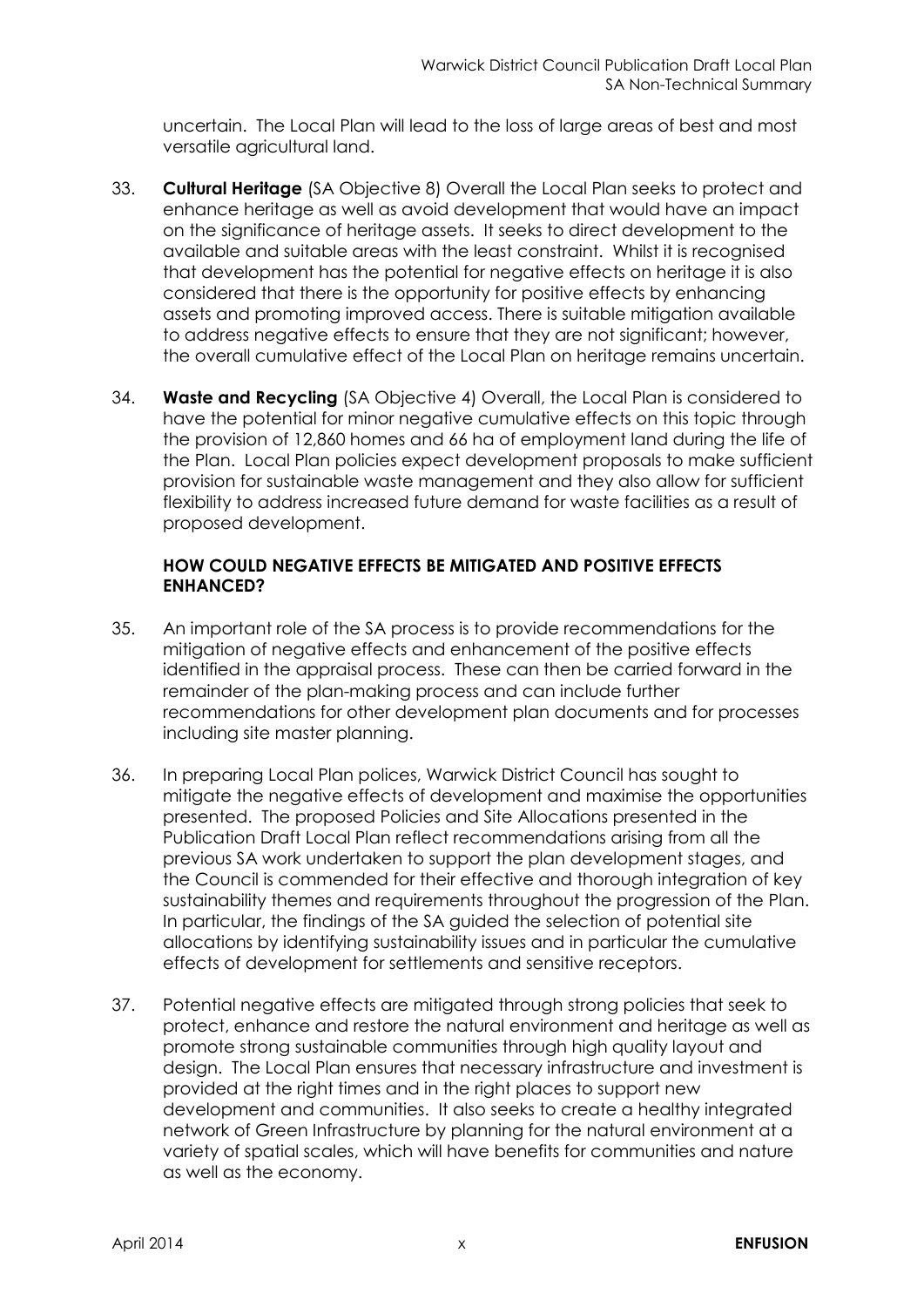uncertain. The Local Plan will lead to the loss of large areas of best and most versatile agricultural land.

- 33. **Cultural Heritage** (SA Objective 8) Overall the Local Plan seeks to protect and enhance heritage as well as avoid development that would have an impact on the significance of heritage assets. It seeks to direct development to the available and suitable areas with the least constraint. Whilst it is recognised that development has the potential for negative effects on heritage it is also considered that there is the opportunity for positive effects by enhancing assets and promoting improved access. There is suitable mitigation available to address negative effects to ensure that they are not significant; however, the overall cumulative effect of the Local Plan on heritage remains uncertain.
- 34. **Waste and Recycling** (SA Objective 4) Overall, the Local Plan is considered to have the potential for minor negative cumulative effects on this topic through the provision of 12,860 homes and 66 ha of employment land during the life of the Plan. Local Plan policies expect development proposals to make sufficient provision for sustainable waste management and they also allow for sufficient flexibility to address increased future demand for waste facilities as a result of proposed development.

### **HOW COULD NEGATIVE EFFECTS BE MITIGATED AND POSITIVE EFFECTS ENHANCED?**

- 35. An important role of the SA process is to provide recommendations for the mitigation of negative effects and enhancement of the positive effects identified in the appraisal process. These can then be carried forward in the remainder of the plan-making process and can include further recommendations for other development plan documents and for processes including site master planning.
- 36. In preparing Local Plan polices, Warwick District Council has sought to mitigate the negative effects of development and maximise the opportunities presented. The proposed Policies and Site Allocations presented in the Publication Draft Local Plan reflect recommendations arising from all the previous SA work undertaken to support the plan development stages, and the Council is commended for their effective and thorough integration of key sustainability themes and requirements throughout the progression of the Plan. In particular, the findings of the SA guided the selection of potential site allocations by identifying sustainability issues and in particular the cumulative effects of development for settlements and sensitive receptors.
- 37. Potential negative effects are mitigated through strong policies that seek to protect, enhance and restore the natural environment and heritage as well as promote strong sustainable communities through high quality layout and design. The Local Plan ensures that necessary infrastructure and investment is provided at the right times and in the right places to support new development and communities. It also seeks to create a healthy integrated network of Green Infrastructure by planning for the natural environment at a variety of spatial scales, which will have benefits for communities and nature as well as the economy.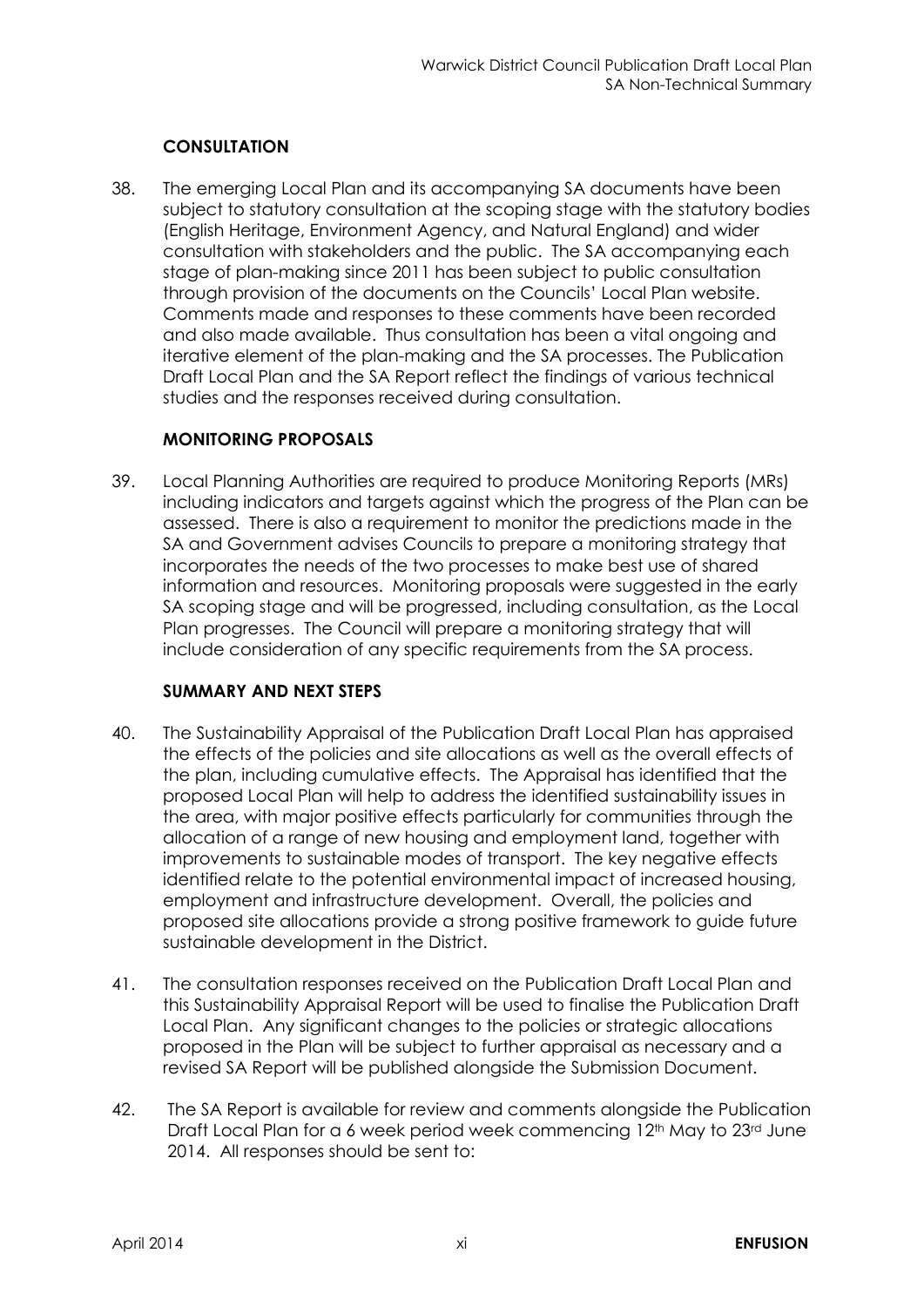# **CONSULTATION**

38. The emerging Local Plan and its accompanying SA documents have been subject to statutory consultation at the scoping stage with the statutory bodies (English Heritage, Environment Agency, and Natural England) and wider consultation with stakeholders and the public. The SA accompanying each stage of plan-making since 2011 has been subject to public consultation through provision of the documents on the Councils' Local Plan website. Comments made and responses to these comments have been recorded and also made available. Thus consultation has been a vital ongoing and iterative element of the plan-making and the SA processes. The Publication Draft Local Plan and the SA Report reflect the findings of various technical studies and the responses received during consultation.

# **MONITORING PROPOSALS**

39. Local Planning Authorities are required to produce Monitoring Reports (MRs) including indicators and targets against which the progress of the Plan can be assessed. There is also a requirement to monitor the predictions made in the SA and Government advises Councils to prepare a monitoring strategy that incorporates the needs of the two processes to make best use of shared information and resources. Monitoring proposals were suggested in the early SA scoping stage and will be progressed, including consultation, as the Local Plan progresses. The Council will prepare a monitoring strategy that will include consideration of any specific requirements from the SA process.

# **SUMMARY AND NEXT STEPS**

- 40. The Sustainability Appraisal of the Publication Draft Local Plan has appraised the effects of the policies and site allocations as well as the overall effects of the plan, including cumulative effects. The Appraisal has identified that the proposed Local Plan will help to address the identified sustainability issues in the area, with major positive effects particularly for communities through the allocation of a range of new housing and employment land, together with improvements to sustainable modes of transport. The key negative effects identified relate to the potential environmental impact of increased housing, employment and infrastructure development. Overall, the policies and proposed site allocations provide a strong positive framework to guide future sustainable development in the District.
- 41. The consultation responses received on the Publication Draft Local Plan and this Sustainability Appraisal Report will be used to finalise the Publication Draft Local Plan. Any significant changes to the policies or strategic allocations proposed in the Plan will be subject to further appraisal as necessary and a revised SA Report will be published alongside the Submission Document.
- 42. The SA Report is available for review and comments alongside the Publication Draft Local Plan for a 6 week period week commencing 12<sup>th</sup> May to 23<sup>rd</sup> June 2014. All responses should be sent to: